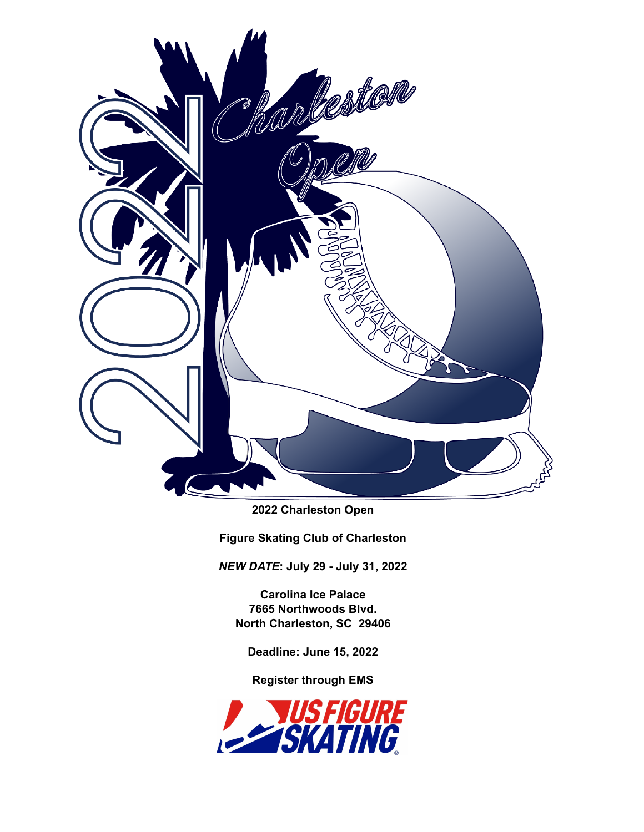

**2022 Charleston Open**

**Figure Skating Club of Charleston**

*NEW DATE***: July 29 - July 31, 2022**

**Carolina Ice Palace 7665 Northwoods Blvd. North Charleston, SC 29406**

**Deadline: June 15, 2022**

**Register through EMS**

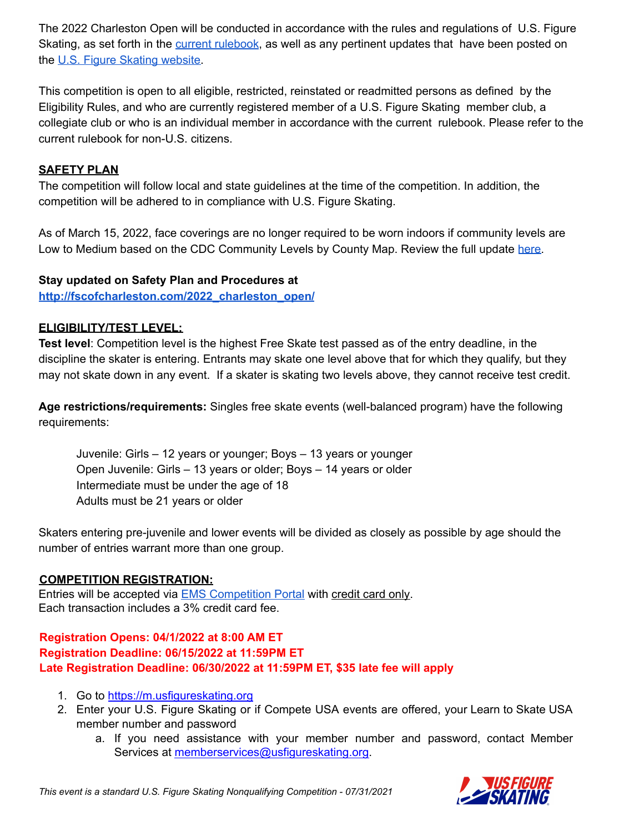The 2022 Charleston Open will be conducted in accordance with the rules and regulations of U.S. Figure Skating, as set forth in the current [rulebook](https://www.usfigureskating.org/about/rules), as well as any pertinent updates that have been posted on the U.S. Figure Skating [website.](https://www.usfigureskating.org/members-only/members/technical-notifications)

This competition is open to all eligible, restricted, reinstated or readmitted persons as defined by the Eligibility Rules, and who are currently registered member of a U.S. Figure Skating member club, a collegiate club or who is an individual member in accordance with the current rulebook. Please refer to the current rulebook for non-U.S. citizens.

## **SAFETY PLAN**

The competition will follow local and state guidelines at the time of the competition. In addition, the competition will be adhered to in compliance with U.S. Figure Skating.

As of March 15, 2022, face coverings are no longer required to be worn indoors if community levels are Low to Medium based on the CDC Community Levels by County Map. Review the full update [here.](https://www.usfigureskating.org/news/press-release/us-figure-skating-covid-19-policy-update-1)

#### **Stay updated on Safety Plan and Procedures at**

**[http://fscofcharleston.com/2022\\_charleston\\_open/](http://fscofcharleston.com/2022_charleston_open/)**

## **ELIGIBILITY/TEST LEVEL:**

**Test level**: Competition level is the highest Free Skate test passed as of the entry deadline, in the discipline the skater is entering. Entrants may skate one level above that for which they qualify, but they may not skate down in any event. If a skater is skating two levels above, they cannot receive test credit.

**Age restrictions/requirements:** Singles free skate events (well-balanced program) have the following requirements:

Juvenile: Girls – 12 years or younger; Boys – 13 years or younger Open Juvenile: Girls – 13 years or older; Boys – 14 years or older Intermediate must be under the age of 18 Adults must be 21 years or older

Skaters entering pre-juvenile and lower events will be divided as closely as possible by age should the number of entries warrant more than one group.

#### **COMPETITION REGISTRATION:**

Entries will be accepted via EMS [Competition](https://m.usfigureskating.org/competition/30426) Portal with credit card only. Each transaction includes a 3% credit card fee.

## **Registration Opens: 04/1/2022 at 8:00 AM ET Registration Deadline: 06/15/2022 at 11:59PM ET Late Registration Deadline: 06/30/2022 at 11:59PM ET, \$35 late fee will apply**

- 1. Go to <https://m.usfigureskating.org>
- 2. Enter your U.S. Figure Skating or if Compete USA events are offered, your Learn to Skate USA member number and password
	- a. If you need assistance with your member number and password, contact Member Services at [memberservices@usfigureskating.org.](mailto:memberservices@usfigureskating.org)

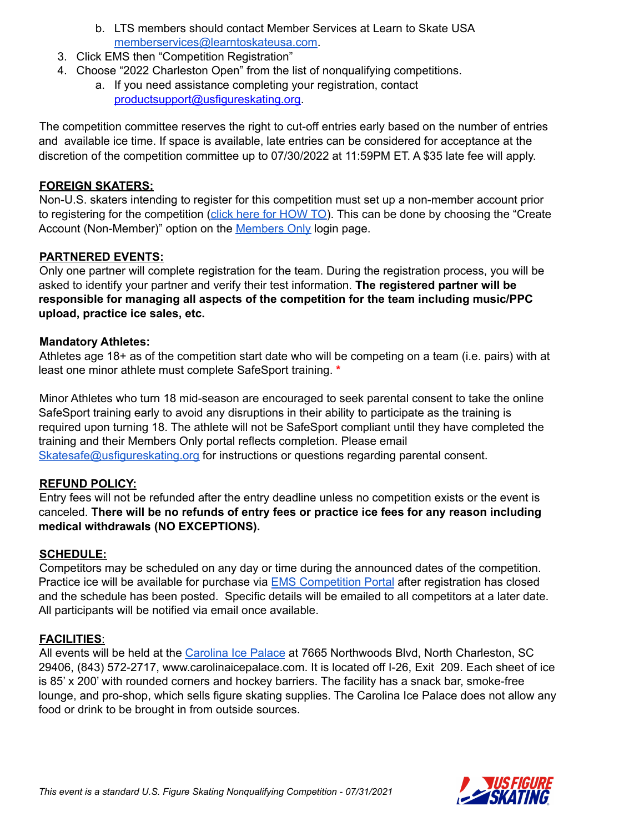- b. LTS members should contact Member Services at Learn to Skate USA [memberservices@learntoskateusa.com.](mailto:memberservices@learntoskateusa.com)
- 3. Click EMS then "Competition Registration"
- 4. Choose "2022 Charleston Open" from the list of nonqualifying competitions.
	- a. If you need assistance completing your registration, contact [productsupport@usfigureskating.org](mailto:productsupport@usfigureskating.org).

The competition committee reserves the right to cut-off entries early based on the number of entries and available ice time. If space is available, late entries can be considered for acceptance at the discretion of the competition committee up to 07/30/2022 at 11:59PM ET. A \$35 late fee will apply.

#### **FOREIGN SKATERS:**

Non-U.S. skaters intending to register for this competition must set up a non-member account prior to registering for the competition (click here for [HOW](https://public.3.basecamp.com/p/GwrcZ9DuXrqkxKykKbYQxJGn) TO). This can be done by choosing the "Create" Account (Non-Member)" option on the [Members](https://m.usfigureskating.org/account/login/) Only login page.

## **PARTNERED EVENTS:**

Only one partner will complete registration for the team. During the registration process, you will be asked to identify your partner and verify their test information. **The registered partner will be responsible for managing all aspects of the competition for the team including music/PPC upload, practice ice sales, etc.**

#### **Mandatory Athletes:**

Athletes age 18+ as of the competition start date who will be competing on a team (i.e. pairs) with at least one minor athlete must complete SafeSport training. **\***

Minor Athletes who turn 18 mid-season are encouraged to seek parental consent to take the online SafeSport training early to avoid any disruptions in their ability to participate as the training is required upon turning 18. The athlete will not be SafeSport compliant until they have completed the training and their Members Only portal reflects completion. Please email [Skatesafe@usfigureskating.org](mailto:skatesafe@usfigureskating.org) for instructions or questions regarding parental consent.

#### **REFUND POLICY:**

Entry fees will not be refunded after the entry deadline unless no competition exists or the event is canceled. **There will be no refunds of entry fees or practice ice fees for any reason including medical withdrawals (NO EXCEPTIONS).**

#### **SCHEDULE:**

Competitors may be scheduled on any day or time during the announced dates of the competition. Practice ice will be available for purchase via **EMS** [Competition](https://m.usfigureskating.org/competition/30426) Portal after registration has closed and the schedule has been posted. Specific details will be emailed to all competitors at a later date. All participants will be notified via email once available.

## **FACILITIES**:

All events will be held at the [Carolina](https://carolinaicepalace.com/) Ice Palace at 7665 Northwoods Blvd, North Charleston, SC 29406, (843) 572-2717, www.carolinaicepalace.com. It is located off I-26, Exit 209. Each sheet of ice is 85' x 200' with rounded corners and hockey barriers. The facility has a snack bar, smoke-free lounge, and pro-shop, which sells figure skating supplies. The Carolina Ice Palace does not allow any food or drink to be brought in from outside sources.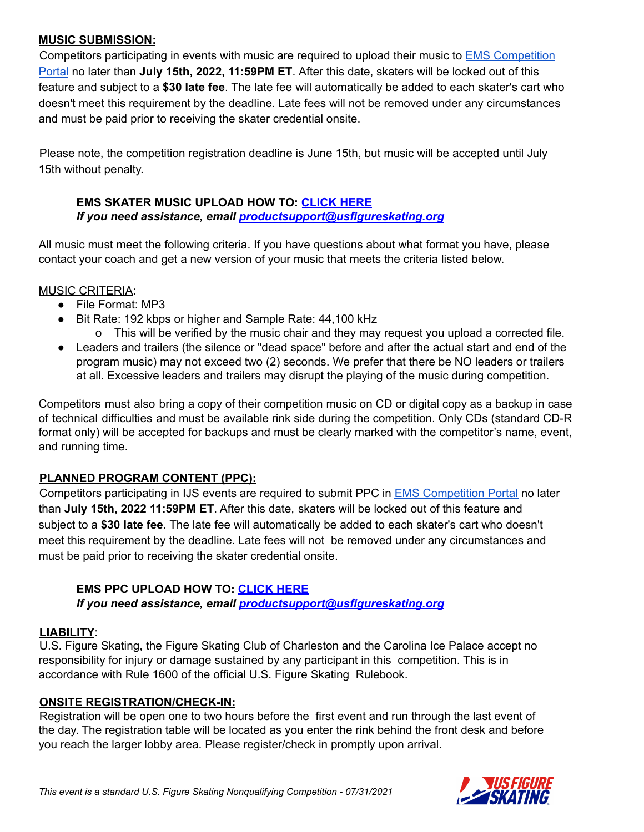## **MUSIC SUBMISSION:**

Competitors participating in events with music are required to upload their music to EMS [Competition](https://m.usfigureskating.org/competition/30426) [Portal](https://m.usfigureskating.org/competition/30426) no later than **July 15th, 2022, 11:59PM ET**. After this date, skaters will be locked out of this feature and subject to a **\$30 late fee**. The late fee will automatically be added to each skater's cart who doesn't meet this requirement by the deadline. Late fees will not be removed under any circumstances and must be paid prior to receiving the skater credential onsite.

Please note, the competition registration deadline is June 15th, but music will be accepted until July 15th without penalty.

## **EMS SKATER MUSIC UPLOAD HOW TO: [CLICK](https://public.3.basecamp.com/p/ycj6D89r1GruJVv8oTSWXUqW) HERE** *If you need assistance, email [productsupport@usfigureskating.org](mailto:productsupport@usfigureskating.org)*

All music must meet the following criteria. If you have questions about what format you have, please contact your coach and get a new version of your music that meets the criteria listed below.

#### MUSIC CRITERIA:

- File Format: MP3
- Bit Rate: 192 kbps or higher and Sample Rate: 44,100 kHz
	- o This will be verified by the music chair and they may request you upload a corrected file.
- Leaders and trailers (the silence or "dead space" before and after the actual start and end of the program music) may not exceed two (2) seconds. We prefer that there be NO leaders or trailers at all. Excessive leaders and trailers may disrupt the playing of the music during competition.

Competitors must also bring a copy of their competition music on CD or digital copy as a backup in case of technical difficulties and must be available rink side during the competition. Only CDs (standard CD-R format only) will be accepted for backups and must be clearly marked with the competitor's name, event, and running time.

## **PLANNED PROGRAM CONTENT (PPC):**

Competitors participating in IJS events are required to submit PPC in EMS [Competition](https://m.usfigureskating.org/competition/30426) Portal no later than **July 15th, 2022 11:59PM ET**. After this date, skaters will be locked out of this feature and subject to a **\$30 late fee**. The late fee will automatically be added to each skater's cart who doesn't meet this requirement by the deadline. Late fees will not be removed under any circumstances and must be paid prior to receiving the skater credential onsite.

## **EMS PPC UPLOAD HOW TO: [CLICK](https://public.3.basecamp.com/p/bJNALQ6nPYrJUH2YKAjQ2tMB) HERE**

*If you need assistance, email [productsupport@usfigureskating.org](mailto:productsupport@usfigureskating.org)*

## **LIABILITY**:

U.S. Figure Skating, the Figure Skating Club of Charleston and the Carolina Ice Palace accept no responsibility for injury or damage sustained by any participant in this competition. This is in accordance with Rule 1600 of the official U.S. Figure Skating Rulebook.

## **ONSITE REGISTRATION/CHECK-IN:**

Registration will be open one to two hours before the first event and run through the last event of the day. The registration table will be located as you enter the rink behind the front desk and before you reach the larger lobby area. Please register/check in promptly upon arrival.

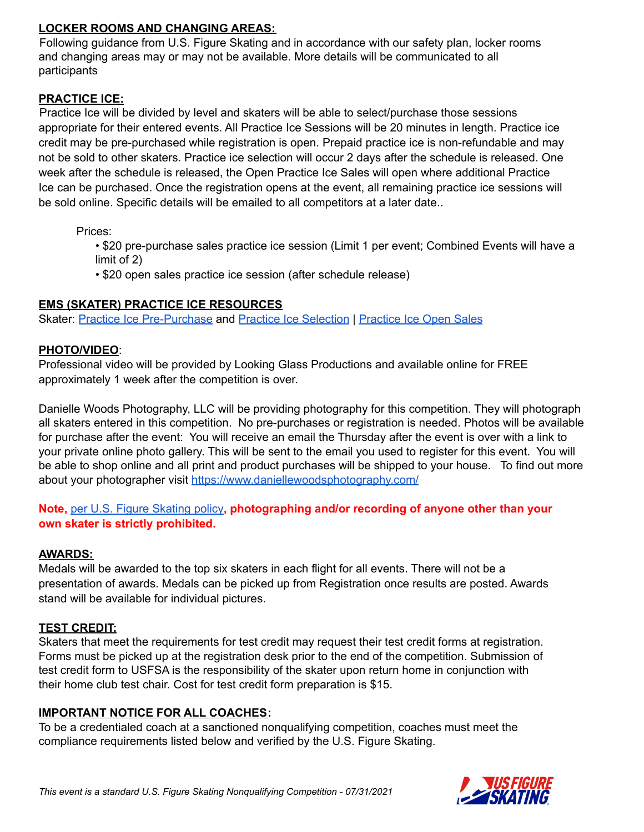## **LOCKER ROOMS AND CHANGING AREAS:**

Following guidance from U.S. Figure Skating and in accordance with our safety plan, locker rooms and changing areas may or may not be available. More details will be communicated to all participants

#### **PRACTICE ICE:**

Practice Ice will be divided by level and skaters will be able to select/purchase those sessions appropriate for their entered events. All Practice Ice Sessions will be 20 minutes in length. Practice ice credit may be pre-purchased while registration is open. Prepaid practice ice is non-refundable and may not be sold to other skaters. Practice ice selection will occur 2 days after the schedule is released. One week after the schedule is released, the Open Practice Ice Sales will open where additional Practice Ice can be purchased. Once the registration opens at the event, all remaining practice ice sessions will be sold online. Specific details will be emailed to all competitors at a later date..

Prices:

• \$20 pre-purchase sales practice ice session (Limit 1 per event; Combined Events will have a limit of 2)

• \$20 open sales practice ice session (after schedule release)

#### **EMS (SKATER) PRACTICE ICE RESOURCES**

Skater: Practice Ice [Pre-Purchase](https://public.3.basecamp.com/p/rqAXpFKf535Tp76yZk2dcL1b) and Practice Ice [Selection](https://public.3.basecamp.com/p/KbtNr6DhEX1Rpf1ePW8LeUB6) | [Practice](https://public.3.basecamp.com/p/ZFJN9NPbT99REMpExBTRupYX) Ice Open Sales

#### **PHOTO/VIDEO**:

Professional video will be provided by Looking Glass Productions and available online for FREE approximately 1 week after the competition is over.

Danielle Woods Photography, LLC will be providing photography for this competition. They will photograph all skaters entered in this competition. No pre-purchases or registration is needed. Photos will be available for purchase after the event: You will receive an email the Thursday after the event is over with a link to your private online photo gallery. This will be sent to the email you used to register for this event. You will be able to shop online and all print and product purchases will be shipped to your house. To find out more about your photographer visit <https://www.daniellewoodsphotography.com/>

## **Note,** per U.S. Figure [Skating](https://public.3.basecamp.com/p/EsWCNMRdrZ3qJs6LsB9RM9Vf) policy**, photographing and/or recording of anyone other than your own skater is strictly prohibited.**

## **AWARDS:**

Medals will be awarded to the top six skaters in each flight for all events. There will not be a presentation of awards. Medals can be picked up from Registration once results are posted. Awards stand will be available for individual pictures.

## **TEST CREDIT:**

Skaters that meet the requirements for test credit may request their test credit forms at registration. Forms must be picked up at the registration desk prior to the end of the competition. Submission of test credit form to USFSA is the responsibility of the skater upon return home in conjunction with their home club test chair. Cost for test credit form preparation is \$15.

#### **IMPORTANT NOTICE FOR ALL COACHES:**

To be a credentialed coach at a sanctioned nonqualifying competition, coaches must meet the compliance requirements listed below and verified by the U.S. Figure Skating.

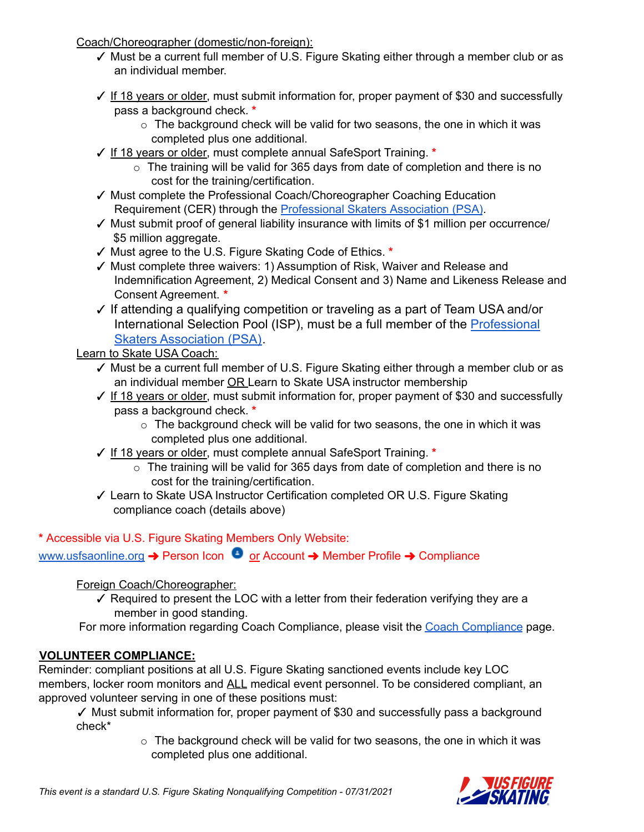Coach/Choreographer (domestic/non-foreign):

- ✓ Must be a current full member of U.S. Figure Skating either through a member club or as an individual member.
- ✓ If 18 years or older, must submit information for, proper payment of \$30 and successfully pass a background check. **\***
	- o The background check will be valid for two seasons, the one in which it was completed plus one additional.
- ✓ If 18 years or older, must complete annual SafeSport Training. **\***
	- $\circ$  The training will be valid for 365 days from date of completion and there is no cost for the training/certification.
- ✓ Must complete the Professional Coach/Choreographer Coaching Education Requirement (CER) through the [Professional](https://skatepsa.com/compliance) Skaters Association (PSA).
- ✓ Must submit proof of general liability insurance with limits of \$1 million per occurrence/ \$5 million aggregate.
- ✓ Must agree to the U.S. Figure Skating Code of Ethics. **\***
- ✓ Must complete three waivers: 1) Assumption of Risk, Waiver and Release and Indemnification Agreement, 2) Medical Consent and 3) Name and Likeness Release and Consent Agreement. **\***
- ✓ If attending a qualifying competition or traveling as a part of Team USA and/or International Selection Pool (ISP), must be a full member of the [Professional](https://skatepsa.com/compliance) [Skaters Association \(PSA\)](https://skatepsa.com/compliance).

Learn to Skate USA Coach:

- ✓ Must be a current full member of U.S. Figure Skating either through a member club or as an individual member OR Learn to Skate USA instructor membership
- ✓ If 18 years or older, must submit information for, proper payment of \$30 and successfully pass a background check. **\***
	- $\circ$  The background check will be valid for two seasons, the one in which it was completed plus one additional.
- ✓ If 18 years or older, must complete annual SafeSport Training. **\***
	- o The training will be valid for 365 days from date of completion and there is no cost for the training/certification.
- ✓ Learn to Skate USA Instructor Certification completed OR U.S. Figure Skating compliance coach (details above)

**\*** Accessible via U.S. Figure Skating Members Only Website:

[www.usfsaonline.org](http://www.usfsaonline.org) → Person Icon ● or Account → Member Profile → Compliance

Foreign Coach/Choreographer:

- $\checkmark$  Required to present the LOC with a letter from their federation verifying they are a member in good standing.
- For more information regarding Coach Compliance, please visit the Coach [Compliance](https://www.usfigureskating.org/support/coach/coach-compliance) page.

# **VOLUNTEER COMPLIANCE:**

Reminder: compliant positions at all U.S. Figure Skating sanctioned events include key LOC members, locker room monitors and ALL medical event personnel. To be considered compliant, an approved volunteer serving in one of these positions must:

✓ Must submit information for, proper payment of \$30 and successfully pass a background check\*

 $\circ$  The background check will be valid for two seasons, the one in which it was completed plus one additional.

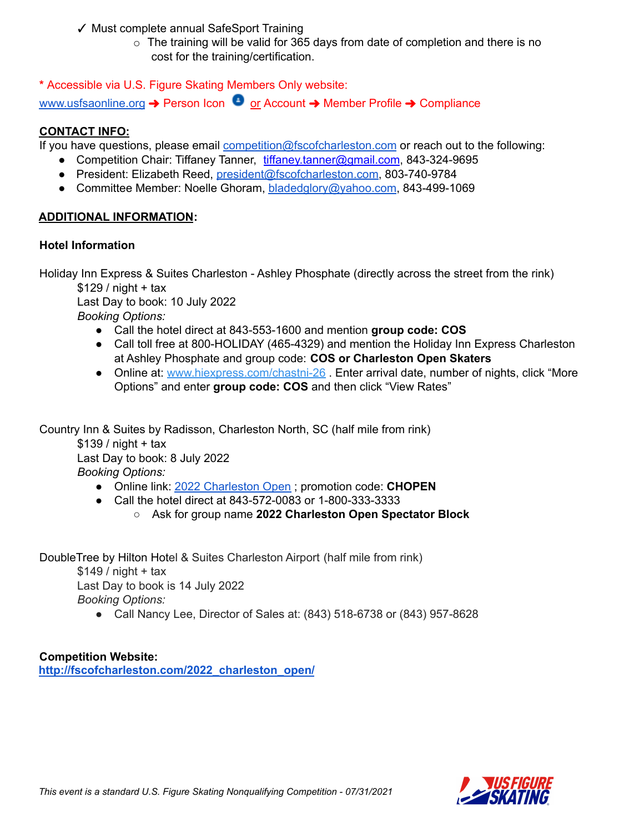- ✓ Must complete annual SafeSport Training
	- $\circ$  The training will be valid for 365 days from date of completion and there is no cost for the training/certification.

**\*** Accessible via U.S. Figure Skating Members Only website:

[www.usfsaonline.org](http://www.usfsaonline.org) → Person Icon © or Account → Member Profile → Compliance

## **CONTACT INFO:**

If you have questions, please email [competition@fscofcharleston.com](mailto:competition@fscofcharleston.com) or reach out to the following:

- Competition Chair: Tiffaney Tanner, tiffaney.tanner@gmail.com, 843-324-9695
- President: Elizabeth Reed, [president@fscofcharleston.com](mailto:president@fscofcharleston.com), 803-740-9784
- Committee Member: Noelle Ghoram, [bladedglory@yahoo.com](mailto:bladedglory@yahoo.com), 843-499-1069

## **ADDITIONAL INFORMATION:**

## **Hotel Information**

Holiday Inn Express & Suites Charleston - Ashley Phosphate (directly across the street from the rink)

 $$129/$  night + tax

Last Day to book: 10 July 2022 *Booking Options:*

- Call the hotel direct at 843-553-1600 and mention **group code: COS**
- Call toll free at 800-HOLIDAY (465-4329) and mention the Holiday Inn Express Charleston at Ashley Phosphate and group code: **COS or Charleston Open Skaters**
- Online at: [www.hiexpress.com/chastni-26](http://www.hiexpress.com/chastni-26) . Enter arrival date, number of nights, click "More" Options" and enter **group code: COS** and then click "View Rates"

Country Inn & Suites by Radisson, Charleston North, SC (half mile from rink)

 $$139/$  night + tax Last Day to book: 8 July 2022 *Booking Options:*

- Online link: 2022 [Charleston](https://www.radissonhotelsamericas.com/en-us/booking/room-display?hotelCode=SCNOCHAR&checkInDate=2022-07-28&checkOutDate=2022-07-31&adults%5B%5D=1&children%5B%5D=0&searchType=pac&promotionCode=CHOPEN) Open ; promotion code: **CHOPEN**
- Call the hotel direct at 843-572-0083 or 1-800-333-3333
	- Ask for group name **2022 Charleston Open Spectator Block**

DoubleTree by Hilton Hotel & Suites Charleston Airport (half mile from rink)  $$149/$  night + tax Last Day to book is 14 July 2022

*Booking Options:*

● Call Nancy Lee, Director of Sales at: (843) 518-6738 or (843) 957-8628

**Competition Website: [http://fscofcharleston.com/2022\\_charleston\\_open/](http://fscofcharleston.com/2022_charleston_open/)**

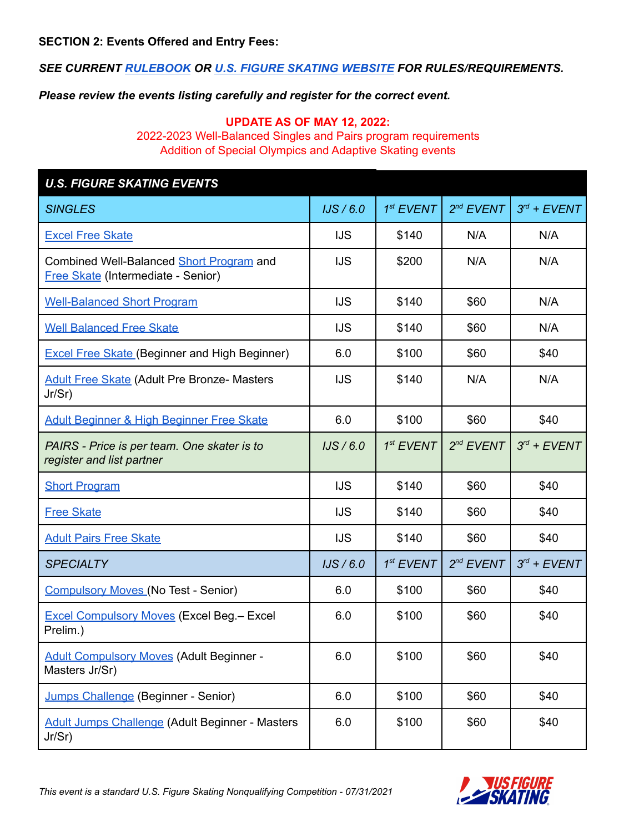*SEE CURRENT [RULEBOOK](https://www.usfigureskating.org/about/rules) OR U.S. FIGURE SKATING [WEBSITE](http://www.usfsaonline.org/) FOR RULES/REQUIREMENTS.*

*Please review the events listing carefully and register for the correct event.*

## **UPDATE AS OF MAY 12, 2022:**

2022-2023 Well-Balanced Singles and Pairs program requirements Addition of Special Olympics and Adaptive Skating events

| <b>U.S. FIGURE SKATING EVENTS</b>                                                     |            |             |                |                  |  |
|---------------------------------------------------------------------------------------|------------|-------------|----------------|------------------|--|
| <b>SINGLES</b>                                                                        | IJS/6.0    | $1st$ EVENT | $2^{nd}$ EVENT | $3^{rd}$ + EVENT |  |
| <b>Excel Free Skate</b>                                                               | <b>IJS</b> | \$140       | N/A            | N/A              |  |
| Combined Well-Balanced Short Program and<br><b>Free Skate (Intermediate - Senior)</b> | <b>IJS</b> | \$200       | N/A            | N/A              |  |
| <b>Well-Balanced Short Program</b>                                                    | <b>IJS</b> | \$140       | \$60           | N/A              |  |
| <b>Well Balanced Free Skate</b>                                                       | <b>IJS</b> | \$140       | \$60           | N/A              |  |
| <b>Excel Free Skate (Beginner and High Beginner)</b>                                  | 6.0        | \$100       | \$60           | \$40             |  |
| <b>Adult Free Skate (Adult Pre Bronze- Masters</b><br>Jr/Sr)                          | <b>IJS</b> | \$140       | N/A            | N/A              |  |
| Adult Beginner & High Beginner Free Skate                                             | 6.0        | \$100       | \$60           | \$40             |  |
| PAIRS - Price is per team. One skater is to<br>register and list partner              | IJS/6.0    | $1st$ EVENT | $2^{nd}$ EVENT | $3^{rd}$ + EVENT |  |
| <b>Short Program</b>                                                                  | <b>IJS</b> | \$140       | \$60           | \$40             |  |
| <b>Free Skate</b>                                                                     | <b>IJS</b> | \$140       | \$60           | \$40             |  |
| <b>Adult Pairs Free Skate</b>                                                         | <b>IJS</b> | \$140       | \$60           | \$40             |  |
| <b>SPECIALTY</b>                                                                      | IJS/6.0    | $1st$ EVENT | $2^{nd}$ EVENT | $3^{rd}$ + EVENT |  |
| <b>Compulsory Moves (No Test - Senior)</b>                                            | 6.0        | \$100       | \$60           | \$40             |  |
| <b>Excel Compulsory Moves (Excel Beg.- Excel</b><br>Prelim.)                          | 6.0        | \$100       | \$60           | \$40             |  |
| <b>Adult Compulsory Moves (Adult Beginner -</b><br>Masters Jr/Sr)                     | 6.0        | \$100       | \$60           | \$40             |  |
| Jumps Challenge (Beginner - Senior)                                                   | 6.0        | \$100       | \$60           | \$40             |  |
| <b>Adult Jumps Challenge (Adult Beginner - Masters</b><br>Jr/Sr)                      | 6.0        | \$100       | \$60           | \$40             |  |